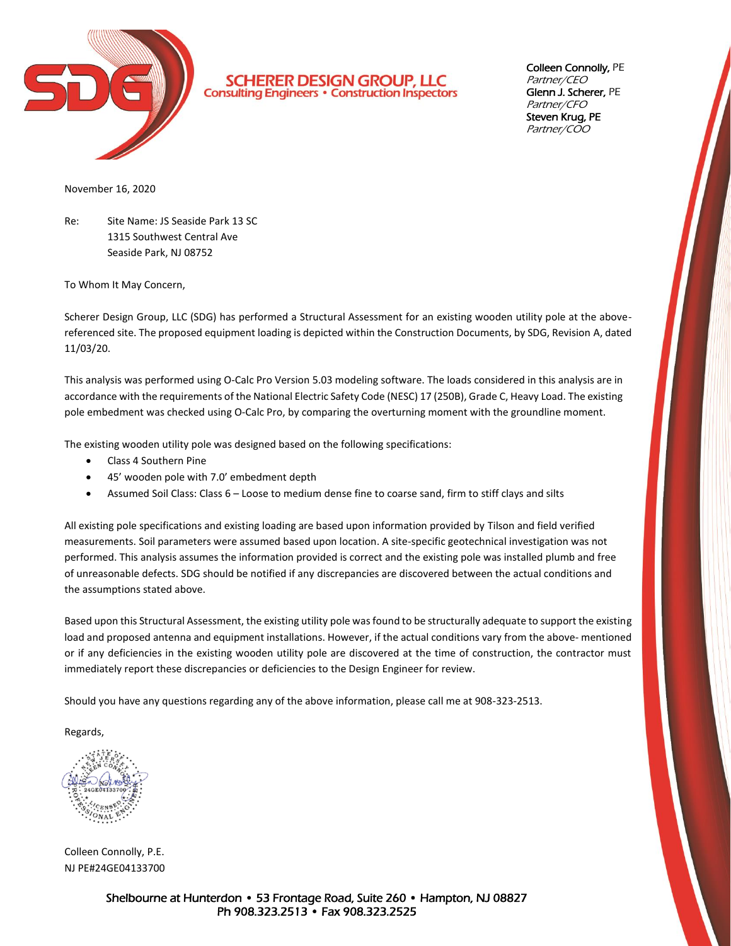

**SCHERER DESIGN GROUP, LLC**<br>Consulting Engineers · Construction Inspectors

Colleen Connolly, PE Partner/CEO Glenn J. Scherer, PE Partner/CFO Steven Krug, PE Partner/COO

November 16, 2020

Re: Site Name: JS Seaside Park 13 SC 1315 Southwest Central Ave Seaside Park, NJ 08752

To Whom It May Concern,

Scherer Design Group, LLC (SDG) has performed a Structural Assessment for an existing wooden utility pole at the abovereferenced site. The proposed equipment loading is depicted within the Construction Documents, by SDG, Revision A, dated 11/03/20.

This analysis was performed using O-Calc Pro Version 5.03 modeling software. The loads considered in this analysis are in accordance with the requirements of the National Electric Safety Code (NESC) 17 (250B), Grade C, Heavy Load. The existing pole embedment was checked using O-Calc Pro, by comparing the overturning moment with the groundline moment.

The existing wooden utility pole was designed based on the following specifications:

- Class 4 Southern Pine
- 45' wooden pole with 7.0' embedment depth
- Assumed Soil Class: Class 6 Loose to medium dense fine to coarse sand, firm to stiff clays and silts

All existing pole specifications and existing loading are based upon information provided by Tilson and field verified measurements. Soil parameters were assumed based upon location. A site-specific geotechnical investigation was not performed. This analysis assumes the information provided is correct and the existing pole was installed plumb and free of unreasonable defects. SDG should be notified if any discrepancies are discovered between the actual conditions and the assumptions stated above.

Based upon this Structural Assessment, the existing utility pole was found to be structurally adequate to support the existing load and proposed antenna and equipment installations. However, if the actual conditions vary from the above- mentioned or if any deficiencies in the existing wooden utility pole are discovered at the time of construction, the contractor must immediately report these discrepancies or deficiencies to the Design Engineer for review.

Should you have any questions regarding any of the above information, please call me at 908-323-2513.

Regards,

Colleen Connolly, P.E. NJ PE#24GE04133700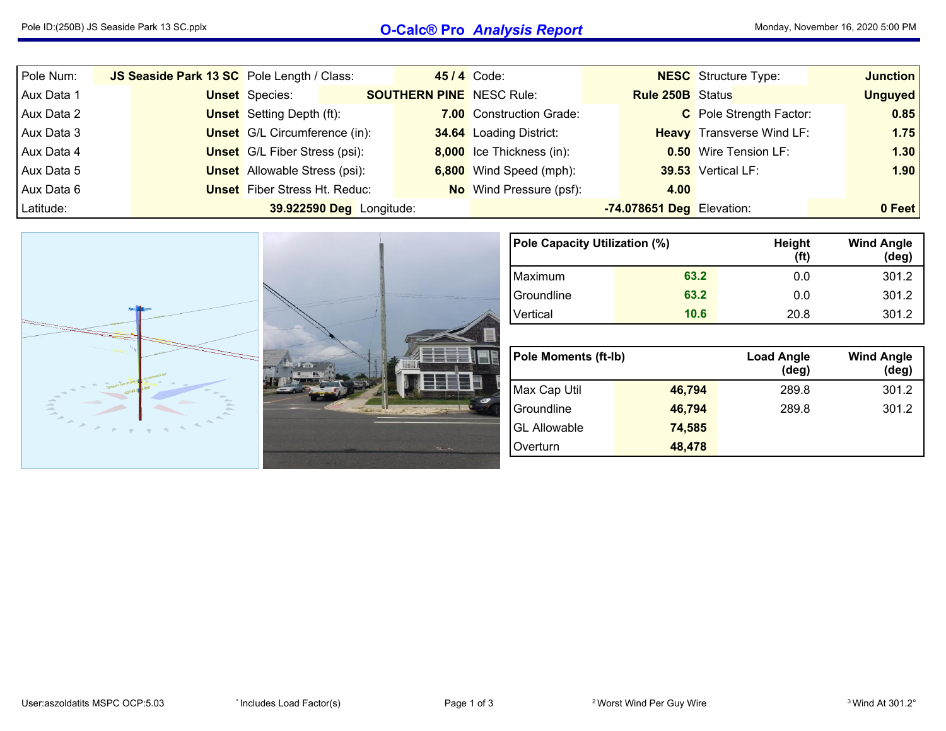## Pole ID:(250B) JS Seaside Park <sup>13</sup> SC.pplx **O-Calc® Pro** *Analysis Report* Monday, November 16, <sup>2020</sup> 5:00 PM

| Pole Num:  | JS Seaside Park 13 SC Pole Length / Class: |                                      |                          |                                 | <b>45/4 Code:</b>              |                           | <b>NESC</b> Structure Type:      | <b>Junction</b> |
|------------|--------------------------------------------|--------------------------------------|--------------------------|---------------------------------|--------------------------------|---------------------------|----------------------------------|-----------------|
| Aux Data 1 |                                            | <b>Unset</b> Species:                |                          | <b>SOUTHERN PINE</b> NESC Rule: |                                | <b>Rule 250B</b> Status   |                                  | <b>Unguyed</b>  |
| Aux Data 2 |                                            | <b>Unset</b> Setting Depth (ft):     |                          |                                 | 7.00 Construction Grade:       |                           | C Pole Strength Factor:          | 0.85            |
| Aux Data 3 |                                            | <b>Unset</b> G/L Circumference (in): |                          |                                 | 34.64 Loading District:        |                           | <b>Heavy</b> Transverse Wind LF: | 1.75            |
| Aux Data 4 |                                            | <b>Unset</b> G/L Fiber Stress (psi): |                          |                                 | 8,000 Ice Thickness (in):      |                           | <b>0.50</b> Wire Tension LF:     | 1.30            |
| Aux Data 5 |                                            | <b>Unset</b> Allowable Stress (psi): |                          |                                 | 6,800 Wind Speed (mph):        |                           | 39.53 Vertical LF:               | 1.90            |
| Aux Data 6 |                                            | <b>Unset</b> Fiber Stress Ht. Reduc: |                          |                                 | <b>No</b> Wind Pressure (psf): | 4.00                      |                                  |                 |
| Latitude:  |                                            |                                      | 39.922590 Deg Longitude: |                                 |                                | -74.078651 Deg Elevation: |                                  | 0 Feet          |

|                                      | Pole Capacity Utilization (%) |        | Height<br>(f <sup>t</sup> ) | <b>Wind Angle</b><br>(deg) |
|--------------------------------------|-------------------------------|--------|-----------------------------|----------------------------|
|                                      | Maximum                       | 63.2   | 0.0                         | 301.2                      |
|                                      | Groundline                    | 63.2   | 0.0                         | 301.2                      |
|                                      | Vertical                      | 10.6   | 20.8                        | 301.2                      |
|                                      |                               |        |                             |                            |
|                                      |                               |        |                             |                            |
| <b>Family</b>                        | <b>Pole Moments (ft-lb)</b>   |        | <b>Load Angle</b><br>(deg)  | <b>Wind Angle</b><br>(deg) |
|                                      | Max Cap Util                  | 46,794 | 289.8                       | 301.2                      |
| $\equiv$<br>$\overline{\phantom{a}}$ | Groundline                    | 46,794 | 289.8                       | 301.2                      |
| $\sim$                               | <b>GL Allowable</b>           | 74,585 |                             |                            |
| $75 - 41$                            | Overturn                      | 48,478 |                             |                            |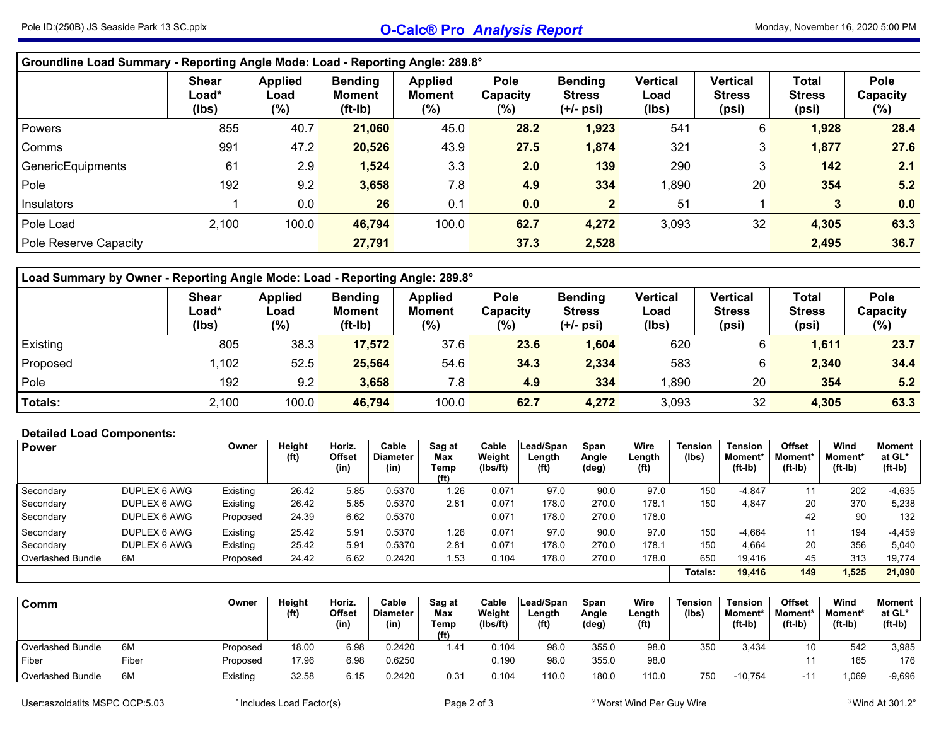## Pole ID:(250B) JS Seaside Park <sup>13</sup> SC.pplx **O-Calc® Pro** *Analysis Report* Monday, November 16, <sup>2020</sup> 5:00 PM

| Groundline Load Summary - Reporting Angle Mode: Load - Reporting Angle: 289.8° |                                |                                  |                                              |                                           |                                   |                                              |                                  |                                           |                                        |                                    |
|--------------------------------------------------------------------------------|--------------------------------|----------------------------------|----------------------------------------------|-------------------------------------------|-----------------------------------|----------------------------------------------|----------------------------------|-------------------------------------------|----------------------------------------|------------------------------------|
|                                                                                | <b>Shear</b><br>Load*<br>(Ibs) | <b>Applied</b><br>Load<br>$(\%)$ | <b>Bending</b><br><b>Moment</b><br>$(ft-lb)$ | <b>Applied</b><br><b>Moment</b><br>$(\%)$ | <b>Pole</b><br>Capacity<br>$(\%)$ | <b>Bending</b><br><b>Stress</b><br>(+/- psi) | <b>Vertical</b><br>Load<br>(lbs) | <b>Vertical</b><br><b>Stress</b><br>(psi) | <b>Total</b><br><b>Stress</b><br>(psi) | <b>Pole</b><br>Capacity<br>$(\% )$ |
| Powers                                                                         | 855                            | 40.7                             | 21,060                                       | 45.0                                      | 28.2                              | 1,923                                        | 541                              | 6                                         | 1,928                                  | 28.4                               |
| Comms                                                                          | 991                            | 47.2                             | 20,526                                       | 43.9                                      | 27.5                              | 1,874                                        | 321                              | 3                                         | 1,877                                  | 27.6                               |
| GenericEquipments                                                              | 61                             | 2.9                              | 1,524                                        | 3.3                                       | 2.0                               | 139                                          | 290                              | 3                                         | 142                                    | 2.1                                |
| Pole                                                                           | 192                            | 9.2                              | 3,658                                        | 7.8                                       | 4.9                               | 334                                          | 1,890                            | 20                                        | 354                                    | 5.2                                |
| Insulators                                                                     |                                | 0.0                              | 26                                           | 0.1                                       | 0.0                               |                                              | 51                               |                                           | 3                                      | 0.0                                |
| Pole Load                                                                      | 2,100                          | 100.0                            | 46,794                                       | 100.0                                     | 62.7                              | 4,272                                        | 3,093                            | 32                                        | 4,305                                  | 63.3                               |
| Pole Reserve Capacity                                                          |                                |                                  | 27,791                                       |                                           | 37.3                              | 2,528                                        |                                  |                                           | 2,495                                  | 36.7                               |

| Load Summary by Owner - Reporting Angle Mode: Load - Reporting Angle: 289.8° |                                |                                  |                                              |                                           |                                |                                                |                                  |                                    |                                        |                            |  |  |  |
|------------------------------------------------------------------------------|--------------------------------|----------------------------------|----------------------------------------------|-------------------------------------------|--------------------------------|------------------------------------------------|----------------------------------|------------------------------------|----------------------------------------|----------------------------|--|--|--|
|                                                                              | <b>Shear</b><br>Load*<br>(lbs) | <b>Applied</b><br>Load<br>$(\%)$ | <b>Bending</b><br><b>Moment</b><br>$(ft-lb)$ | <b>Applied</b><br><b>Moment</b><br>$(\%)$ | <b>Pole</b><br>Capacity<br>(%) | <b>Bending</b><br><b>Stress</b><br>$(+/-$ psi) | <b>Vertical</b><br>Load<br>(lbs) | Vertical<br><b>Stress</b><br>(psi) | <b>Total</b><br><b>Stress</b><br>(psi) | Pole<br>Capacity<br>$(\%)$ |  |  |  |
| Existing                                                                     | 805                            | 38.3                             | 17,572                                       | 37.6                                      | 23.6                           | 1,604                                          | 620                              | 6                                  | 1,611                                  | 23.7                       |  |  |  |
| Proposed                                                                     | 1,102                          | 52.5                             | 25,564                                       | 54.6                                      | 34.3                           | 2,334                                          | 583                              | 6                                  | 2,340                                  | 34.4                       |  |  |  |
| Pole                                                                         | 192                            | 9.2                              | 3,658                                        | 7.8                                       | 4.9                            | 334                                            | 1.890                            | 20                                 | 354                                    | 5.2                        |  |  |  |
| <b>Totals:</b>                                                               | 2,100                          | 100.0                            | 46,794                                       | 100.0                                     | 62.7                           | 4,272                                          | 3,093                            | 32                                 | 4,305                                  | 63.3                       |  |  |  |

## **Detailed Load Components:**

| <b>Power</b>      |              | Owner    | Height<br>(ft) | Horiz.<br><b>Offset</b><br>(in) | Cable<br><b>Diameter</b><br>(in) | Sag at<br>Max<br>Temp | Cable<br>Weight<br>(lbs/ft) | Lead/Span<br>∟ength<br>(f <sup>t</sup> ) | Span<br>Angle<br>(deg) | Wire<br>Length<br>(f <sup>t</sup> ) | <b>Tension</b><br>(Ibs) | <b>Tension</b><br>Moment*<br>$(ft-lb)$ | <b>Offset</b><br><b>Moment</b> *<br>$(ft-lb)$ | Wind<br>Moment*<br>(ft-Ib) | Moment<br>at GL*<br>$(ft-lb)$ |
|-------------------|--------------|----------|----------------|---------------------------------|----------------------------------|-----------------------|-----------------------------|------------------------------------------|------------------------|-------------------------------------|-------------------------|----------------------------------------|-----------------------------------------------|----------------------------|-------------------------------|
|                   |              |          |                |                                 |                                  | (ft)                  |                             |                                          |                        |                                     |                         |                                        |                                               |                            |                               |
| Secondary         | DUPLEX 6 AWG | Existing | 26.42          | 5.85                            | 0.5370                           | 1.26                  | 0.071                       | 97.0                                     | 90.0                   | 97.0                                | 150                     | $-4,847$                               | 11                                            | 202                        | $-4,635$                      |
| Secondary         | DUPLEX 6 AWG | Existing | 26.42          | 5.85                            | 0.5370                           | 2.81                  | 0.071                       | 178.0                                    | 270.0                  | 178.1                               | 150                     | 4,847                                  | 20                                            | 370                        | 5,238                         |
| Secondary         | DUPLEX 6 AWG | Proposed | 24.39          | 6.62                            | 0.5370                           |                       | 0.071                       | 178.0                                    | 270.0                  | 178.0                               |                         |                                        | 42                                            | 90                         | 132                           |
| Secondary         | DUPLEX 6 AWG | Existing | 25.42          | 5.91                            | 0.5370                           | 1.26                  | 0.071                       | 97.0                                     | 90.0                   | 97.0                                | 150                     | $-4.664$                               | 11                                            | 194                        | $-4,459$                      |
| Secondary         | DUPLEX 6 AWG | Existing | 25.42          | 5.91                            | 0.5370                           | 2.81                  | 0.071                       | 178.0                                    | 270.0                  | 178.1                               | 150                     | 4.664                                  | 20                                            | 356                        | 5,040                         |
| Overlashed Bundle | 6M           | Proposed | 24.42          | 6.62                            | 0.2420                           | 1.53                  | 0.104                       | 178.0                                    | 270.0                  | 178.0                               | 650                     | 19.416                                 | 45                                            | 313                        | 19.774                        |
|                   |              |          |                |                                 |                                  |                       |                             |                                          |                        |                                     | Totals:                 | 19.416                                 | 149                                           | ,525                       | 21.090                        |

| Comm              |       | Owner    | Height<br>(ft) | Horiz.<br>Offset<br>(in) | Cable<br><b>Diameter</b><br>(in) | Sag at<br>Max<br>Temp<br>(ft) | Cable<br>Weight<br>(Ibs/ft) | Lead/Span<br>Length<br>(f <sup>t</sup> ) | Span<br>Angle<br>(deg) | Wire<br>Length<br>(f <sup>t</sup> ) | Tension<br>(lbs) | Tension<br><b>Moment</b><br>$(ft-lb)$ | <b>Offset</b><br><b>Moment</b><br>(ft-Ib) | Wind<br>Moment*<br>$(ft-lb)$ | Moment<br>at GL*<br>$(ft-lb)$ |
|-------------------|-------|----------|----------------|--------------------------|----------------------------------|-------------------------------|-----------------------------|------------------------------------------|------------------------|-------------------------------------|------------------|---------------------------------------|-------------------------------------------|------------------------------|-------------------------------|
| Overlashed Bundle | 6M    | Proposed | 18.00          | 6.98                     | 0.2420                           | 1.41                          | 0.104                       | 98.0                                     | 355.0                  | 98.C                                | 350              | 3,434                                 | 10                                        | 542                          | 3,985                         |
| Fiber             | Fiber | Proposed | 17.96          | 6.98                     | 0.6250                           |                               | 0.190                       | 98.0                                     | 355.0                  | 98.0                                |                  |                                       |                                           | 165                          | $176$ .                       |
| Overlashed Bundle | 6M    | Existing | 32.58          | 6.15                     | 0.2420                           | 0.31                          | 0.104                       | 110.0                                    | 180.0                  | 110.0                               | 750              | -10,754                               | $\cdot$<br>- 1                            | ,069                         | $-9,696$                      |